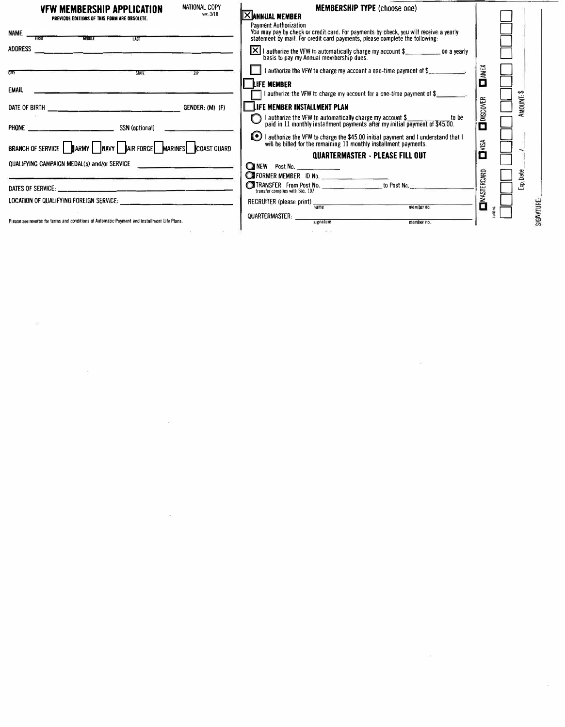| NATIONAL COPY<br><b>VFW MEMBERSHIP APPLICATION</b><br>ver. 3/18<br>PREVIOUS EDITIONS OF THIS FORM ARE OBSOLETE. | <b>MEMBERSHIP TYPE (choose one)</b><br><u>IXI</u> ANNUAL MEMBER                                                                                                                                      |                     |
|-----------------------------------------------------------------------------------------------------------------|------------------------------------------------------------------------------------------------------------------------------------------------------------------------------------------------------|---------------------|
| NAME<br><b>MIDOLE</b><br>$\frac{1}{100}$                                                                        | <b>Payment Authorization</b><br>You may pay by check or credit card. For payments by check, you will receive a yearly<br>statement by mail. For credit card payments, please complete the following: |                     |
| ADDRESS<br><u> 1989 - Johann Stein, fransk politik (d. 1989)</u>                                                | $\vert X \vert$ authorize the VFW to automatically charge my account \$<br>basis to pay my Annual membership dues.                                                                                   |                     |
| $\overline{\text{cm}}$<br><b>STATE</b><br>7IP                                                                   | <b>1</b> authorize the VFW to charge my account a one-time payment of $\$\$                                                                                                                          | $M\nu$              |
| EMAIL                                                                                                           | <b>LIFE MEMBER</b><br>I authorize the VFW to charge my account for a one-time payment of $\frac{1}{2}$                                                                                               | ↮                   |
| GENDER: (M) (F)                                                                                                 | LIFE MEMBER INSTALLMENT PLAN                                                                                                                                                                         | <b>AMOUNI-</b>      |
|                                                                                                                 | I authorize the VFW to automatically charge my account \$___________to<br>paid in 11 monthly installment payments after my initial payment of \$45.00.<br>to be                                      | <b>O</b> DISCOVER   |
| BRANCH OF SERVICE SARMY NAVY AIR FORCE MARINES COAST GUARD                                                      | I authorize the VFW to charge the \$45.00 initial payment and I understand that I will be billed for the remaining 11 monthly installment payments.                                                  | DVISA               |
|                                                                                                                 | QUARTERMASTER - PLEASE FILL OUT                                                                                                                                                                      |                     |
| QUALIFYING CAMPAIGN MEDAL(s) and/or SERVICE                                                                     | NEW Post No.                                                                                                                                                                                         |                     |
|                                                                                                                 | <b>THE FORMER MEMBER ID No.</b>                                                                                                                                                                      | Exp.Date            |
|                                                                                                                 |                                                                                                                                                                                                      |                     |
|                                                                                                                 | RECRUITER (please print) $\frac{1}{name}$<br>member no.                                                                                                                                              | <b>LIMASTERCARD</b> |
| Please see reverse for terms and conditions of Automatic Payment and Installment Life Plans.                    | QUARTERMASTER:<br>signature<br>member no.                                                                                                                                                            | SIGNATURE           |
|                                                                                                                 |                                                                                                                                                                                                      |                     |